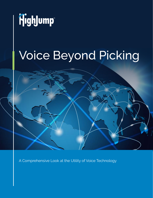

# Voice Beyond Picking



A Comprehensive Look at the Utility of Voice Technology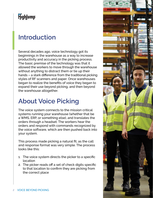# Highlump

## **Introduction**

Several decades ago, voice technology got its beginnings in the warehouse as a way to increase productivity and accuracy in the picking process. The basic premise of the technology was that it allowed the workers to move through the warehouse without anything to distract them or tie up their hands – a stark difference from the traditional picking styles of RF scanners and paper. Once warehouses began to realize the benefits of voice they began to expand their use beyond picking, and then beyond the warehouse altogether.

## **About Voice Picking**

The voice system connects to the mission critical systems running your warehouse (whether that be a WMS, ERP, or something else), and translates the orders through a headset. The workers hear the orders and respond with commands recognized by the voice software, which are then pushed back into your system.

This process made picking a natural fit, as the call and response format was very simple. The process looks like this:

- 1. The voice system directs the picker to a specific location
- 2. The picker reads off a set of check digits specific to that location to confirm they are picking from the correct place

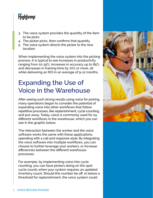# Highlump

- 3. The voice system provides the quantity of the item to be picks
- 4. The picker picks, then confirms that quantity
- 5. The voice system directs the picker to the new location

When implementing the voice system into the picking process, it is typical to see increases in productivity ranging from 10-35%, increases in accuracy up to 85%, and decreases in training time by 70% or more, all while delivering an ROI in an average of 9-12 months.

# **Expanding the Use of Voice in the Warehouse**

After seeing such strong results using voice for picking, many operations began to consider the potential of expanding voice into other workflows that follow repetitive processes, like replenishment, cycle counting, and put-away. Today, voice is commonly used for 24 different workflows in the warehouse, which you can see in the graphic below.

The interaction between the worker and the voice software works the same with these applications, operating with a call and response style. By integrating the voice software into multiple workflows, you can choose to further leverage your workers, or increase efficiencies between the different warehouse processes.

For example, by implementing voice into cycle counting, you can have pickers doing on the spot cycle counts when your system requires an updated inventory count. Should this number be off, or below a threshold for replenishment, the voice system could

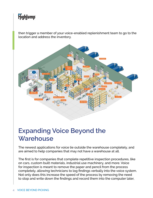# HighJump

then trigger a member of your voice-enabled replenishment team to go to the location and address the inventory.



## **Expanding Voice Beyond the Warehouse**

The newest applications for voice lie outside the warehouse completely, and are aimed to help companies that may not have a warehouse at all.

The first is for companies that complete repetitive inspection procedures, like on cars, custom built materials, industrial use machinery, and more. Voice for inspection is meant to remove the paper and pencil from the process completely, allowing technicians to log findings verbally into the voice system. Not only does this increase the speed of the process by removing the need to stop and write down the findings and record them into the computer later,